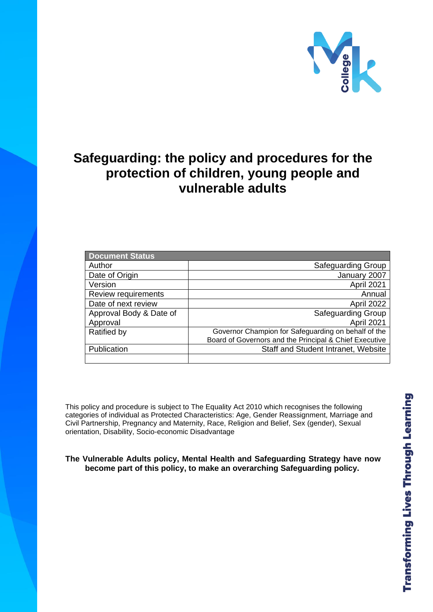

# **Safeguarding: the policy and procedures for the protection of children, young people and vulnerable adults**

| <b>Document Status</b>  |                                                        |
|-------------------------|--------------------------------------------------------|
| Author                  | Safeguarding Group                                     |
| Date of Origin          | January 2007                                           |
| Version                 | April 2021                                             |
| Review requirements     | Annual                                                 |
| Date of next review     | April 2022                                             |
| Approval Body & Date of | <b>Safeguarding Group</b>                              |
| Approval                | April 2021                                             |
| Ratified by             | Governor Champion for Safeguarding on behalf of the    |
|                         | Board of Governors and the Principal & Chief Executive |
| Publication             | Staff and Student Intranet, Website                    |
|                         |                                                        |

This policy and procedure is subject to The Equality Act 2010 which recognises the following categories of individual as Protected Characteristics: Age, Gender Reassignment, Marriage and Civil Partnership, Pregnancy and Maternity, Race, Religion and Belief, Sex (gender), Sexual orientation, Disability, Socio-economic Disadvantage

### **The Vulnerable Adults policy, Mental Health and Safeguarding Strategy have now become part of this policy, to make an overarching Safeguarding policy.**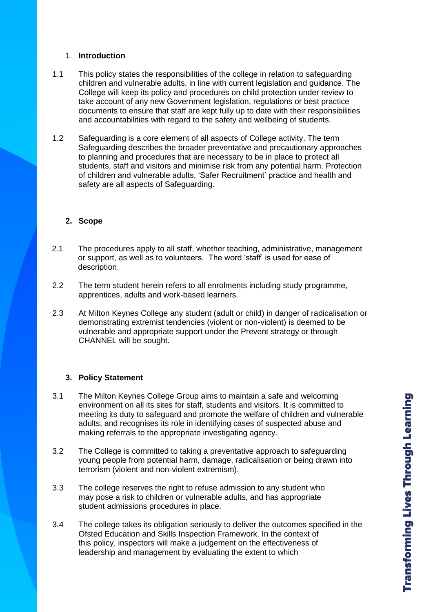### 1. **Introduction**

- 1.1 This policy states the responsibilities of the college in relation to safeguarding children and vulnerable adults, in line with current legislation and guidance. The College will keep its policy and procedures on child protection under review to take account of any new Government legislation, regulations or best practice documents to ensure that staff are kept fully up to date with their responsibilities and accountabilities with regard to the safety and wellbeing of students.
- 1.2 Safeguarding is a core element of all aspects of College activity. The term Safeguarding describes the broader preventative and precautionary approaches to planning and procedures that are necessary to be in place to protect all students, staff and visitors and minimise risk from any potential harm. Protection of children and vulnerable adults, 'Safer Recruitment' practice and health and safety are all aspects of Safeguarding.

### **2. Scope**

- 2.1 The procedures apply to all staff, whether teaching, administrative, management or support, as well as to volunteers. The word 'staff' is used for ease of description.
- 2.2 The term student herein refers to all enrolments including study programme, apprentices, adults and work-based learners.
- 2.3 At Milton Keynes College any student (adult or child) in danger of radicalisation or demonstrating extremist tendencies (violent or non-violent) is deemed to be vulnerable and appropriate support under the Prevent strategy or through CHANNEL will be sought.

### **3. Policy Statement**

- 3.1 The Milton Keynes College Group aims to maintain a safe and welcoming environment on all its sites for staff, students and visitors. It is committed to meeting its duty to safeguard and promote the welfare of children and vulnerable adults, and recognises its role in identifying cases of suspected abuse and making referrals to the appropriate investigating agency.
- 3.2 The College is committed to taking a preventative approach to safeguarding young people from potential harm, damage, radicalisation or being drawn into terrorism (violent and non-violent extremism).
- 3.3 The college reserves the right to refuse admission to any student who may pose a risk to children or vulnerable adults, and has appropriate student admissions procedures in place.
- 3.4 The college takes its obligation seriously to deliver the outcomes specified in the Ofsted Education and Skills Inspection Framework. In the context of this policy, inspectors will make a judgement on the effectiveness of leadership and management by evaluating the extent to which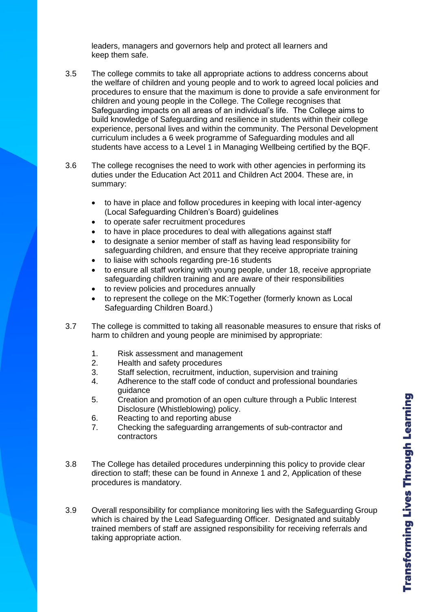leaders, managers and governors help and protect all learners and keep them safe.

- 3.5 The college commits to take all appropriate actions to address concerns about the welfare of children and young people and to work to agreed local policies and procedures to ensure that the maximum is done to provide a safe environment for children and young people in the College. The College recognises that Safeguarding impacts on all areas of an individual's life. The College aims to build knowledge of Safeguarding and resilience in students within their college experience, personal lives and within the community. The Personal Development curriculum includes a 6 week programme of Safeguarding modules and all students have access to a Level 1 in Managing Wellbeing certified by the BQF.
- 3.6 The college recognises the need to work with other agencies in performing its duties under the Education Act 2011 and Children Act 2004. These are, in summary:
	- to have in place and follow procedures in keeping with local inter-agency (Local Safeguarding Children's Board) guidelines
	- to operate safer recruitment procedures
	- to have in place procedures to deal with allegations against staff
	- to designate a senior member of staff as having lead responsibility for safeguarding children, and ensure that they receive appropriate training
	- to liaise with schools regarding pre-16 students
	- to ensure all staff working with young people, under 18, receive appropriate safeguarding children training and are aware of their responsibilities
	- to review policies and procedures annually
	- to represent the college on the MK:Together (formerly known as Local Safeguarding Children Board.)
- 3.7 The college is committed to taking all reasonable measures to ensure that risks of harm to children and young people are minimised by appropriate:
	- 1. Risk assessment and management
	- 2. Health and safety procedures
	- 3. Staff selection, recruitment, induction, supervision and training
	- 4. Adherence to the staff code of conduct and professional boundaries guidance
	- 5. Creation and promotion of an open culture through a Public Interest Disclosure (Whistleblowing) policy.
	- 6. Reacting to and reporting abuse
	- 7. Checking the safeguarding arrangements of sub-contractor and contractors
- 3.8 The College has detailed procedures underpinning this policy to provide clear direction to staff; these can be found in Annexe 1 and 2, Application of these procedures is mandatory.
- 3.9 Overall responsibility for compliance monitoring lies with the Safeguarding Group which is chaired by the Lead Safeguarding Officer. Designated and suitably trained members of staff are assigned responsibility for receiving referrals and taking appropriate action.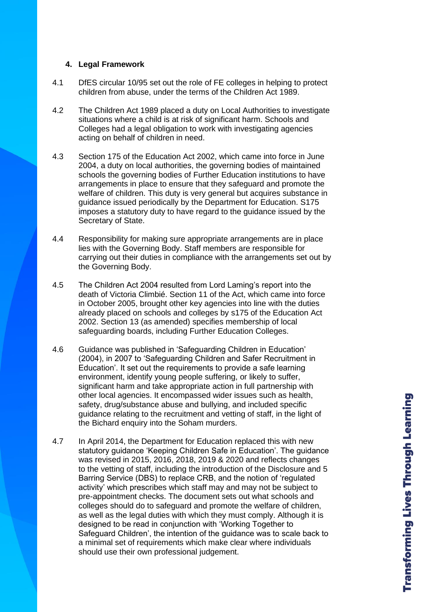### **4. Legal Framework**

- 4.1 DfES circular 10/95 set out the role of FE colleges in helping to protect children from abuse, under the terms of the Children Act 1989.
- 4.2 The Children Act 1989 placed a duty on Local Authorities to investigate situations where a child is at risk of significant harm. Schools and Colleges had a legal obligation to work with investigating agencies acting on behalf of children in need.
- 4.3 Section 175 of the Education Act 2002, which came into force in June 2004, a duty on local authorities, the governing bodies of maintained schools the governing bodies of Further Education institutions to have arrangements in place to ensure that they safeguard and promote the welfare of children. This duty is very general but acquires substance in guidance issued periodically by the Department for Education. S175 imposes a statutory duty to have regard to the guidance issued by the Secretary of State.
- 4.4 Responsibility for making sure appropriate arrangements are in place lies with the Governing Body. Staff members are responsible for carrying out their duties in compliance with the arrangements set out by the Governing Body.
- 4.5 The Children Act 2004 resulted from Lord Laming's report into the death of Victoria Climbié. Section 11 of the Act, which came into force in October 2005, brought other key agencies into line with the duties already placed on schools and colleges by s175 of the Education Act 2002. Section 13 (as amended) specifies membership of local safeguarding boards, including Further Education Colleges.
- 4.6 Guidance was published in 'Safeguarding Children in Education' (2004), in 2007 to 'Safeguarding Children and Safer Recruitment in Education'. It set out the requirements to provide a safe learning environment, identify young people suffering, or likely to suffer, significant harm and take appropriate action in full partnership with other local agencies. It encompassed wider issues such as health, safety, drug/substance abuse and bullying, and included specific guidance relating to the recruitment and vetting of staff, in the light of the Bichard enquiry into the Soham murders.
- 4.7 In April 2014, the Department for Education replaced this with new statutory guidance 'Keeping Children Safe in Education'. The guidance was revised in 2015, 2016, 2018, 2019 & 2020 and reflects changes to the vetting of staff, including the introduction of the Disclosure and 5 Barring Service (DBS) to replace CRB, and the notion of 'regulated activity' which prescribes which staff may and may not be subject to pre-appointment checks. The document sets out what schools and colleges should do to safeguard and promote the welfare of children, as well as the legal duties with which they must comply. Although it is designed to be read in conjunction with 'Working Together to Safeguard Children', the intention of the guidance was to scale back to a minimal set of requirements which make clear where individuals should use their own professional judgement.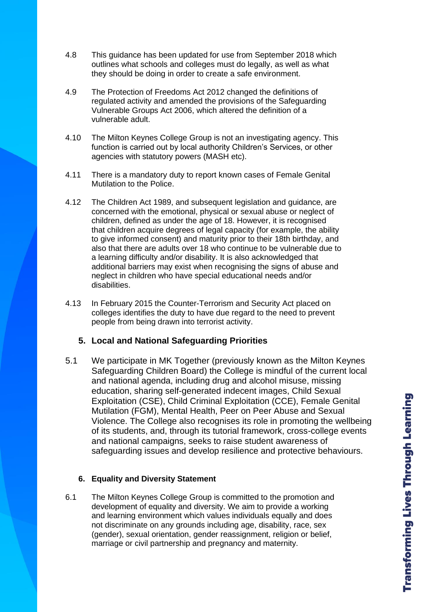- 4.8 This guidance has been updated for use from September 2018 which outlines what schools and colleges must do legally, as well as what they should be doing in order to create a safe environment.
- 4.9 The Protection of Freedoms Act 2012 changed the definitions of regulated activity and amended the provisions of the Safeguarding Vulnerable Groups Act 2006, which altered the definition of a vulnerable adult.
- 4.10 The Milton Keynes College Group is not an investigating agency. This function is carried out by local authority Children's Services, or other agencies with statutory powers (MASH etc).
- 4.11 There is a mandatory duty to report known cases of Female Genital Mutilation to the Police.
- 4.12 The Children Act 1989, and subsequent legislation and guidance, are concerned with the emotional, physical or sexual abuse or neglect of children, defined as under the age of 18. However, it is recognised that children acquire degrees of legal capacity (for example, the ability to give informed consent) and maturity prior to their 18th birthday, and also that there are adults over 18 who continue to be vulnerable due to a learning difficulty and/or disability. It is also acknowledged that additional barriers may exist when recognising the signs of abuse and neglect in children who have special educational needs and/or disabilities.
- 4.13 In February 2015 the Counter-Terrorism and Security Act placed on colleges identifies the duty to have due regard to the need to prevent people from being drawn into terrorist activity.

# **5. Local and National Safeguarding Priorities**

5.1 We participate in MK Together (previously known as the Milton Keynes Safeguarding Children Board) the College is mindful of the current local and national agenda, including drug and alcohol misuse, missing education, sharing self-generated indecent images, Child Sexual Exploitation (CSE), Child Criminal Exploitation (CCE), Female Genital Mutilation (FGM), Mental Health, Peer on Peer Abuse and Sexual Violence. The College also recognises its role in promoting the wellbeing of its students, and, through its tutorial framework, cross-college events and national campaigns, seeks to raise student awareness of safeguarding issues and develop resilience and protective behaviours.

### **6. Equality and Diversity Statement**

6.1 The Milton Keynes College Group is committed to the promotion and development of equality and diversity. We aim to provide a working and learning environment which values individuals equally and does not discriminate on any grounds including age, disability, race, sex (gender), sexual orientation, gender reassignment, religion or belief, marriage or civil partnership and pregnancy and maternity.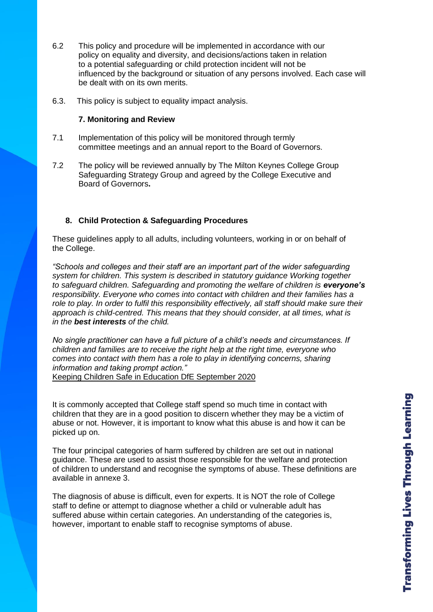- 6.2 This policy and procedure will be implemented in accordance with our policy on equality and diversity, and decisions/actions taken in relation to a potential safeguarding or child protection incident will not be influenced by the background or situation of any persons involved. Each case will be dealt with on its own merits.
- 6.3. This policy is subject to equality impact analysis.

### **7. Monitoring and Review**

- 7.1 Implementation of this policy will be monitored through termly committee meetings and an annual report to the Board of Governors.
- 7.2 The policy will be reviewed annually by The Milton Keynes College Group Safeguarding Strategy Group and agreed by the College Executive and Board of Governors**.**

### **8. Child Protection & Safeguarding Procedures**

These guidelines apply to all adults, including volunteers, working in or on behalf of the College.

*"Schools and colleges and their staff are an important part of the wider safeguarding system for children. This system is described in statutory guidance Working together to safeguard children. Safeguarding and promoting the welfare of children is everyone's responsibility. Everyone who comes into contact with children and their families has a role to play. In order to fulfil this responsibility effectively, all staff should make sure their approach is child-centred. This means that they should consider, at all times, what is in the best interests of the child.*

*No single practitioner can have a full picture of a child's needs and circumstances. If children and families are to receive the right help at the right time, everyone who comes into contact with them has a role to play in identifying concerns, sharing information and taking prompt action."*

Keeping Children Safe in Education DfE September 2020

It is commonly accepted that College staff spend so much time in contact with children that they are in a good position to discern whether they may be a victim of abuse or not. However, it is important to know what this abuse is and how it can be picked up on.

The four principal categories of harm suffered by children are set out in national guidance. These are used to assist those responsible for the welfare and protection of children to understand and recognise the symptoms of abuse. These definitions are available in annexe 3.

The diagnosis of abuse is difficult, even for experts. It is NOT the role of College staff to define or attempt to diagnose whether a child or vulnerable adult has suffered abuse within certain categories. An understanding of the categories is, however, important to enable staff to recognise symptoms of abuse.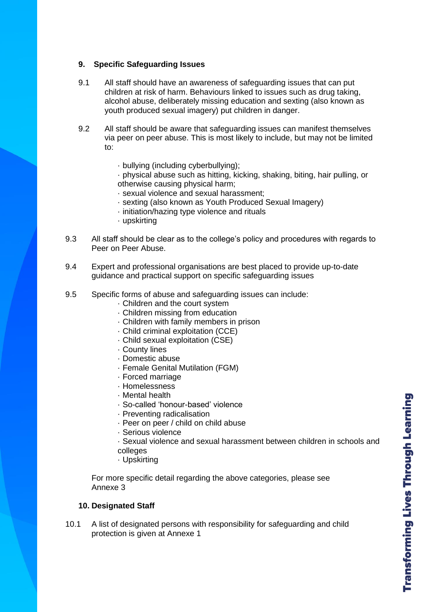### **9. Specific Safeguarding Issues**

- 9.1 All staff should have an awareness of safeguarding issues that can put children at risk of harm. Behaviours linked to issues such as drug taking, alcohol abuse, deliberately missing education and sexting (also known as youth produced sexual imagery) put children in danger.
- 9.2 All staff should be aware that safeguarding issues can manifest themselves via peer on peer abuse. This is most likely to include, but may not be limited to:
	- · bullying (including cyberbullying);
	- · physical abuse such as hitting, kicking, shaking, biting, hair pulling, or otherwise causing physical harm;
	- · sexual violence and sexual harassment;
	- · sexting (also known as Youth Produced Sexual Imagery)
	- · initiation/hazing type violence and rituals
	- · upskirting
- 9.3 All staff should be clear as to the college's policy and procedures with regards to Peer on Peer Abuse.
- 9.4 Expert and professional organisations are best placed to provide up-to-date guidance and practical support on specific safeguarding issues
- 9.5 Specific forms of abuse and safeguarding issues can include:
	- · Children and the court system
	- · Children missing from education
	- · Children with family members in prison
	- · Child criminal exploitation (CCE)
	- · Child sexual exploitation (CSE)
	- · County lines
	- · Domestic abuse
	- · Female Genital Mutilation (FGM)
	- · Forced marriage
	- · Homelessness
	- · Mental health
	- · So-called 'honour-based' violence
	- · Preventing radicalisation
	- · Peer on peer / child on child abuse
	- · Serious violence
	- · Sexual violence and sexual harassment between children in schools and colleges
	- · Upskirting

For more specific detail regarding the above categories, please see Annexe 3

### **10. Designated Staff**

10.1 A list of designated persons with responsibility for safeguarding and child protection is given at Annexe 1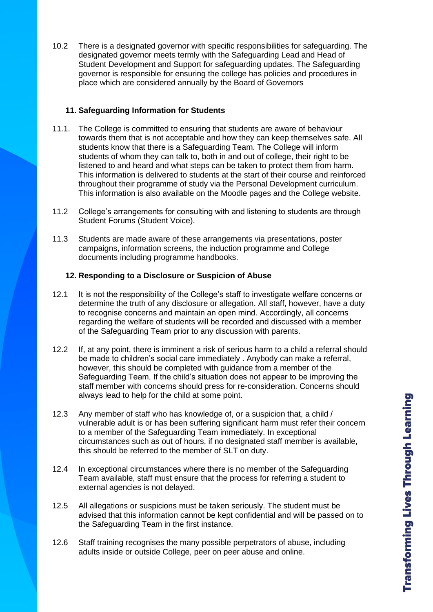10.2 There is a designated governor with specific responsibilities for safeguarding. The designated governor meets termly with the Safeguarding Lead and Head of Student Development and Support for safeguarding updates. The Safeguarding governor is responsible for ensuring the college has policies and procedures in place which are considered annually by the Board of Governors

### **11. Safeguarding Information for Students**

- 11.1. The College is committed to ensuring that students are aware of behaviour towards them that is not acceptable and how they can keep themselves safe. All students know that there is a Safeguarding Team. The College will inform students of whom they can talk to, both in and out of college, their right to be listened to and heard and what steps can be taken to protect them from harm. This information is delivered to students at the start of their course and reinforced throughout their programme of study via the Personal Development curriculum. This information is also available on the Moodle pages and the College website.
- 11.2 College's arrangements for consulting with and listening to students are through Student Forums (Student Voice).
- 11.3 Students are made aware of these arrangements via presentations, poster campaigns, information screens, the induction programme and College documents including programme handbooks.

### **12. Responding to a Disclosure or Suspicion of Abuse**

- 12.1 It is not the responsibility of the College's staff to investigate welfare concerns or determine the truth of any disclosure or allegation. All staff, however, have a duty to recognise concerns and maintain an open mind. Accordingly, all concerns regarding the welfare of students will be recorded and discussed with a member of the Safeguarding Team prior to any discussion with parents.
- 12.2 If, at any point, there is imminent a risk of serious harm to a child a referral should be made to children's social care immediately . Anybody can make a referral, however, this should be completed with guidance from a member of the Safeguarding Team. If the child's situation does not appear to be improving the staff member with concerns should press for re-consideration. Concerns should always lead to help for the child at some point.
- 12.3 Any member of staff who has knowledge of, or a suspicion that, a child / vulnerable adult is or has been suffering significant harm must refer their concern to a member of the Safeguarding Team immediately. In exceptional circumstances such as out of hours, if no designated staff member is available, this should be referred to the member of SLT on duty.
- 12.4 In exceptional circumstances where there is no member of the Safeguarding Team available, staff must ensure that the process for referring a student to external agencies is not delayed.
- 12.5 All allegations or suspicions must be taken seriously. The student must be advised that this information cannot be kept confidential and will be passed on to the Safeguarding Team in the first instance.
- 12.6 Staff training recognises the many possible perpetrators of abuse, including adults inside or outside College, peer on peer abuse and online.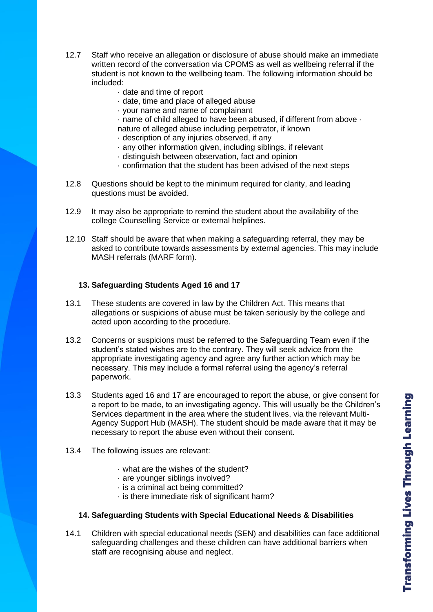- 12.7 Staff who receive an allegation or disclosure of abuse should make an immediate written record of the conversation via CPOMS as well as wellbeing referral if the student is not known to the wellbeing team. The following information should be included:
	- · date and time of report
	- · date, time and place of alleged abuse
	- · your name and name of complainant
	- · name of child alleged to have been abused, if different from above ·
	- nature of alleged abuse including perpetrator, if known
	- · description of any injuries observed, if any
	- · any other information given, including siblings, if relevant
	- · distinguish between observation, fact and opinion
	- · confirmation that the student has been advised of the next steps
- 12.8 Questions should be kept to the minimum required for clarity, and leading questions must be avoided.
- 12.9 It may also be appropriate to remind the student about the availability of the college Counselling Service or external helplines.
- 12.10 Staff should be aware that when making a safeguarding referral, they may be asked to contribute towards assessments by external agencies. This may include MASH referrals (MARF form).

### **13. Safeguarding Students Aged 16 and 17**

- 13.1 These students are covered in law by the Children Act. This means that allegations or suspicions of abuse must be taken seriously by the college and acted upon according to the procedure.
- 13.2 Concerns or suspicions must be referred to the Safeguarding Team even if the student's stated wishes are to the contrary. They will seek advice from the appropriate investigating agency and agree any further action which may be necessary. This may include a formal referral using the agency's referral paperwork.
- 13.3 Students aged 16 and 17 are encouraged to report the abuse, or give consent for a report to be made, to an investigating agency. This will usually be the Children's Services department in the area where the student lives, via the relevant Multi-Agency Support Hub (MASH). The student should be made aware that it may be necessary to report the abuse even without their consent.
- 13.4 The following issues are relevant:
	- · what are the wishes of the student?
	- · are younger siblings involved?
	- · is a criminal act being committed?
	- · is there immediate risk of significant harm?

### **14. Safeguarding Students with Special Educational Needs & Disabilities**

14.1 Children with special educational needs (SEN) and disabilities can face additional safeguarding challenges and these children can have additional barriers when staff are recognising abuse and neglect.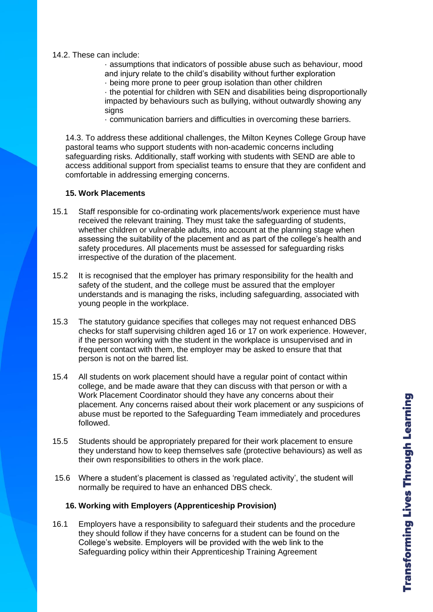### 14.2. These can include:

· assumptions that indicators of possible abuse such as behaviour, mood and injury relate to the child's disability without further exploration

· being more prone to peer group isolation than other children

· the potential for children with SEN and disabilities being disproportionally impacted by behaviours such as bullying, without outwardly showing any signs

· communication barriers and difficulties in overcoming these barriers.

14.3. To address these additional challenges, the Milton Keynes College Group have pastoral teams who support students with non-academic concerns including safeguarding risks. Additionally, staff working with students with SEND are able to access additional support from specialist teams to ensure that they are confident and comfortable in addressing emerging concerns.

### **15. Work Placements**

- 15.1 Staff responsible for co-ordinating work placements/work experience must have received the relevant training. They must take the safeguarding of students, whether children or vulnerable adults, into account at the planning stage when assessing the suitability of the placement and as part of the college's health and safety procedures. All placements must be assessed for safeguarding risks irrespective of the duration of the placement.
- 15.2 It is recognised that the employer has primary responsibility for the health and safety of the student, and the college must be assured that the employer understands and is managing the risks, including safeguarding, associated with young people in the workplace.
- 15.3 The statutory guidance specifies that colleges may not request enhanced DBS checks for staff supervising children aged 16 or 17 on work experience. However, if the person working with the student in the workplace is unsupervised and in frequent contact with them, the employer may be asked to ensure that that person is not on the barred list.
- 15.4 All students on work placement should have a regular point of contact within college, and be made aware that they can discuss with that person or with a Work Placement Coordinator should they have any concerns about their placement. Any concerns raised about their work placement or any suspicions of abuse must be reported to the Safeguarding Team immediately and procedures followed.
- 15.5 Students should be appropriately prepared for their work placement to ensure they understand how to keep themselves safe (protective behaviours) as well as their own responsibilities to others in the work place.
- 15.6 Where a student's placement is classed as 'regulated activity', the student will normally be required to have an enhanced DBS check.

### **16. Working with Employers (Apprenticeship Provision)**

16.1 Employers have a responsibility to safeguard their students and the procedure they should follow if they have concerns for a student can be found on the College's website. Employers will be provided with the web link to the Safeguarding policy within their Apprenticeship Training Agreement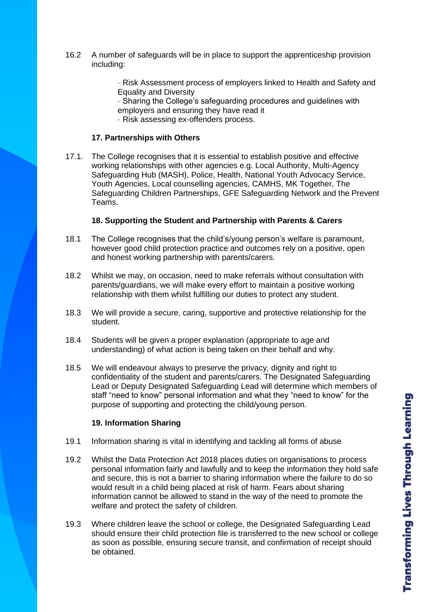16.2 A number of safeguards will be in place to support the apprenticeship provision including:

> · Risk Assessment process of employers linked to Health and Safety and Equality and Diversity

- · Sharing the College's safeguarding procedures and guidelines with
- employers and ensuring they have read it
- · Risk assessing ex-offenders process.

### **17. Partnerships with Others**

17.1. The College recognises that it is essential to establish positive and effective working relationships with other agencies e.g. Local Authority, Multi-Agency Safeguarding Hub (MASH), Police, Health, National Youth Advocacy Service, Youth Agencies, Local counselling agencies, CAMHS, MK Together, The Safeguarding Children Partnerships, GFE Safeguarding Network and the Prevent Teams.

### **18. Supporting the Student and Partnership with Parents & Carers**

- 18.1 The College recognises that the child's/young person's welfare is paramount, however good child protection practice and outcomes rely on a positive, open and honest working partnership with parents/carers.
- 18.2 Whilst we may, on occasion, need to make referrals without consultation with parents/guardians, we will make every effort to maintain a positive working relationship with them whilst fulfilling our duties to protect any student.
- 18.3 We will provide a secure, caring, supportive and protective relationship for the student.
- 18.4 Students will be given a proper explanation (appropriate to age and understanding) of what action is being taken on their behalf and why.
- 18.5 We will endeavour always to preserve the privacy, dignity and right to confidentiality of the student and parents/carers. The Designated Safeguarding Lead or Deputy Designated Safeguarding Lead will determine which members of staff "need to know" personal information and what they "need to know" for the purpose of supporting and protecting the child/young person.

### **19. Information Sharing**

- 19.1 Information sharing is vital in identifying and tackling all forms of abuse
- 19.2 Whilst the Data Protection Act 2018 places duties on organisations to process personal information fairly and lawfully and to keep the information they hold safe and secure, this is not a barrier to sharing information where the failure to do so would result in a child being placed at risk of harm. Fears about sharing information cannot be allowed to stand in the way of the need to promote the welfare and protect the safety of children.
- 19.3 Where children leave the school or college, the Designated Safeguarding Lead should ensure their child protection file is transferred to the new school or college as soon as possible, ensuring secure transit, and confirmation of receipt should be obtained.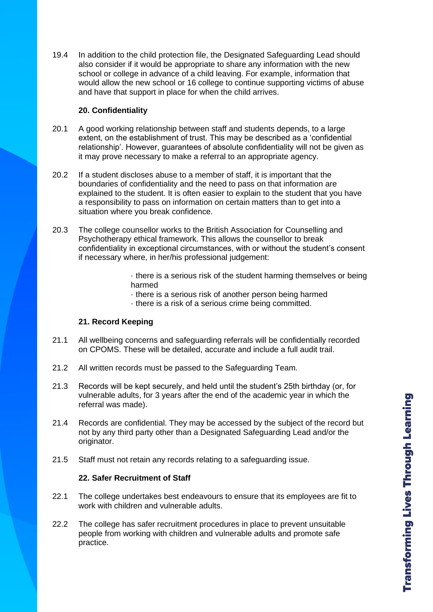19.4 In addition to the child protection file, the Designated Safeguarding Lead should also consider if it would be appropriate to share any information with the new school or college in advance of a child leaving. For example, information that would allow the new school or 16 college to continue supporting victims of abuse and have that support in place for when the child arrives.

### **20. Confidentiality**

- 20.1 A good working relationship between staff and students depends, to a large extent, on the establishment of trust. This may be described as a 'confidential relationship'. However, guarantees of absolute confidentiality will not be given as it may prove necessary to make a referral to an appropriate agency.
- 20.2 If a student discloses abuse to a member of staff, it is important that the boundaries of confidentiality and the need to pass on that information are explained to the student. It is often easier to explain to the student that you have a responsibility to pass on information on certain matters than to get into a situation where you break confidence.
- 20.3 The college counsellor works to the British Association for Counselling and Psychotherapy ethical framework. This allows the counsellor to break confidentiality in exceptional circumstances, with or without the student's consent if necessary where, in her/his professional judgement:

· there is a serious risk of the student harming themselves or being harmed

- · there is a serious risk of another person being harmed
- · there is a risk of a serious crime being committed.

# **21. Record Keeping**

- 21.1 All wellbeing concerns and safeguarding referrals will be confidentially recorded on CPOMS. These will be detailed, accurate and include a full audit trail.
- 21.2 All written records must be passed to the Safeguarding Team.
- 21.3 Records will be kept securely, and held until the student's 25th birthday (or, for vulnerable adults, for 3 years after the end of the academic year in which the referral was made).
- 21.4 Records are confidential. They may be accessed by the subject of the record but not by any third party other than a Designated Safeguarding Lead and/or the originator.
- 21.5 Staff must not retain any records relating to a safeguarding issue.

# **22. Safer Recruitment of Staff**

- 22.1 The college undertakes best endeavours to ensure that its employees are fit to work with children and vulnerable adults.
- 22.2 The college has safer recruitment procedures in place to prevent unsuitable people from working with children and vulnerable adults and promote safe practice.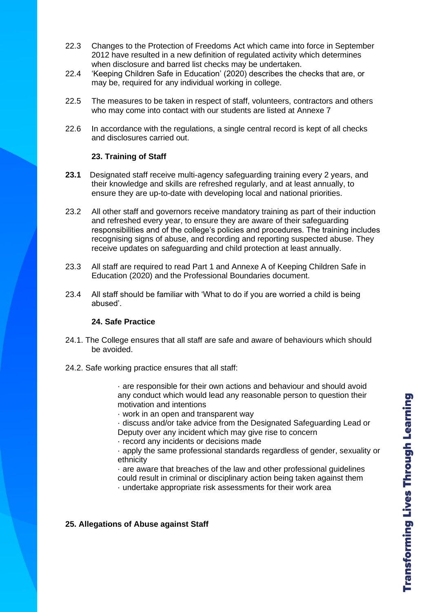- 22.3 Changes to the Protection of Freedoms Act which came into force in September 2012 have resulted in a new definition of regulated activity which determines when disclosure and barred list checks may be undertaken.
- 22.4 'Keeping Children Safe in Education' (2020) describes the checks that are, or may be, required for any individual working in college.
- 22.5 The measures to be taken in respect of staff, volunteers, contractors and others who may come into contact with our students are listed at Annexe 7
- 22.6 In accordance with the regulations, a single central record is kept of all checks and disclosures carried out.

### **23. Training of Staff**

- **23.1** Designated staff receive multi-agency safeguarding training every 2 years, and their knowledge and skills are refreshed regularly, and at least annually, to ensure they are up-to-date with developing local and national priorities.
- 23.2 All other staff and governors receive mandatory training as part of their induction and refreshed every year, to ensure they are aware of their safeguarding responsibilities and of the college's policies and procedures. The training includes recognising signs of abuse, and recording and reporting suspected abuse. They receive updates on safeguarding and child protection at least annually.
- 23.3 All staff are required to read Part 1 and Annexe A of Keeping Children Safe in Education (2020) and the Professional Boundaries document.
- 23.4 All staff should be familiar with 'What to do if you are worried a child is being abused'.

### **24. Safe Practice**

- 24.1. The College ensures that all staff are safe and aware of behaviours which should be avoided.
- 24.2. Safe working practice ensures that all staff:

· are responsible for their own actions and behaviour and should avoid any conduct which would lead any reasonable person to question their motivation and intentions

· work in an open and transparent way

· discuss and/or take advice from the Designated Safeguarding Lead or Deputy over any incident which may give rise to concern

· record any incidents or decisions made

· apply the same professional standards regardless of gender, sexuality or ethnicity

· are aware that breaches of the law and other professional guidelines could result in criminal or disciplinary action being taken against them

· undertake appropriate risk assessments for their work area

### **25. Allegations of Abuse against Staff**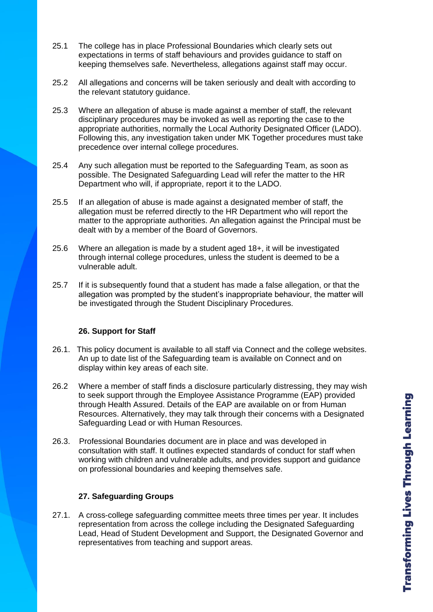- 25.1 The college has in place Professional Boundaries which clearly sets out expectations in terms of staff behaviours and provides guidance to staff on keeping themselves safe. Nevertheless, allegations against staff may occur.
- 25.2 All allegations and concerns will be taken seriously and dealt with according to the relevant statutory guidance.
- 25.3 Where an allegation of abuse is made against a member of staff, the relevant disciplinary procedures may be invoked as well as reporting the case to the appropriate authorities, normally the Local Authority Designated Officer (LADO). Following this, any investigation taken under MK Together procedures must take precedence over internal college procedures.
- 25.4 Any such allegation must be reported to the Safeguarding Team, as soon as possible. The Designated Safeguarding Lead will refer the matter to the HR Department who will, if appropriate, report it to the LADO.
- 25.5 If an allegation of abuse is made against a designated member of staff, the allegation must be referred directly to the HR Department who will report the matter to the appropriate authorities. An allegation against the Principal must be dealt with by a member of the Board of Governors.
- 25.6 Where an allegation is made by a student aged 18+, it will be investigated through internal college procedures, unless the student is deemed to be a vulnerable adult.
- 25.7 If it is subsequently found that a student has made a false allegation, or that the allegation was prompted by the student's inappropriate behaviour, the matter will be investigated through the Student Disciplinary Procedures.

### **26. Support for Staff**

- 26.1. This policy document is available to all staff via Connect and the college websites. An up to date list of the Safeguarding team is available on Connect and on display within key areas of each site.
- 26.2 Where a member of staff finds a disclosure particularly distressing, they may wish to seek support through the Employee Assistance Programme (EAP) provided through Health Assured. Details of the EAP are available on or from Human Resources. Alternatively, they may talk through their concerns with a Designated Safeguarding Lead or with Human Resources.
- 26.3. Professional Boundaries document are in place and was developed in consultation with staff. It outlines expected standards of conduct for staff when working with children and vulnerable adults, and provides support and guidance on professional boundaries and keeping themselves safe.

# **27. Safeguarding Groups**

27.1. A cross-college safeguarding committee meets three times per year. It includes representation from across the college including the Designated Safeguarding Lead, Head of Student Development and Support, the Designated Governor and representatives from teaching and support areas.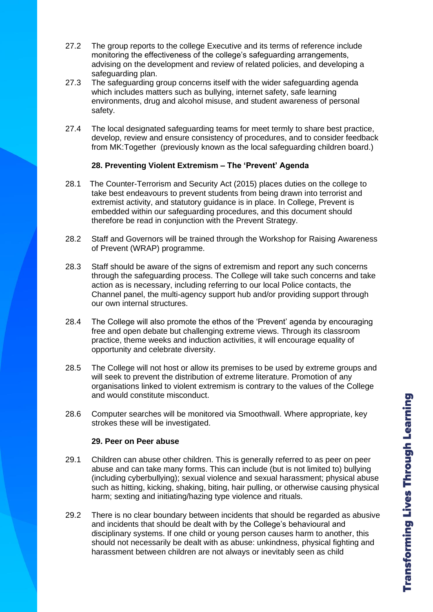- 27.2 The group reports to the college Executive and its terms of reference include monitoring the effectiveness of the college's safeguarding arrangements, advising on the development and review of related policies, and developing a safeguarding plan.
- 27.3 The safeguarding group concerns itself with the wider safeguarding agenda which includes matters such as bullying, internet safety, safe learning environments, drug and alcohol misuse, and student awareness of personal safety.
- 27.4 The local designated safeguarding teams for meet termly to share best practice, develop, review and ensure consistency of procedures, and to consider feedback from MK:Together (previously known as the local safeguarding children board.)

### **28. Preventing Violent Extremism – The 'Prevent' Agenda**

- 28.1 The Counter-Terrorism and Security Act (2015) places duties on the college to take best endeavours to prevent students from being drawn into terrorist and extremist activity, and statutory guidance is in place. In College, Prevent is embedded within our safeguarding procedures, and this document should therefore be read in conjunction with the Prevent Strategy.
- 28.2 Staff and Governors will be trained through the Workshop for Raising Awareness of Prevent (WRAP) programme.
- 28.3 Staff should be aware of the signs of extremism and report any such concerns through the safeguarding process. The College will take such concerns and take action as is necessary, including referring to our local Police contacts, the Channel panel, the multi-agency support hub and/or providing support through our own internal structures.
- 28.4 The College will also promote the ethos of the 'Prevent' agenda by encouraging free and open debate but challenging extreme views. Through its classroom practice, theme weeks and induction activities, it will encourage equality of opportunity and celebrate diversity.
- 28.5 The College will not host or allow its premises to be used by extreme groups and will seek to prevent the distribution of extreme literature. Promotion of any organisations linked to violent extremism is contrary to the values of the College and would constitute misconduct.
- 28.6 Computer searches will be monitored via Smoothwall. Where appropriate, key strokes these will be investigated.

### **29. Peer on Peer abuse**

- 29.1 Children can abuse other children. This is generally referred to as peer on peer abuse and can take many forms. This can include (but is not limited to) bullying (including cyberbullying); sexual violence and sexual harassment; physical abuse such as hitting, kicking, shaking, biting, hair pulling, or otherwise causing physical harm; sexting and initiating/hazing type violence and rituals.
- 29.2 There is no clear boundary between incidents that should be regarded as abusive and incidents that should be dealt with by the College's behavioural and disciplinary systems. If one child or young person causes harm to another, this should not necessarily be dealt with as abuse: unkindness, physical fighting and harassment between children are not always or inevitably seen as child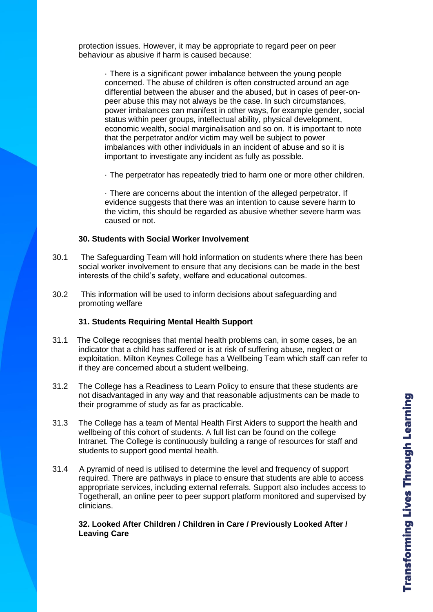protection issues. However, it may be appropriate to regard peer on peer behaviour as abusive if harm is caused because:

> · There is a significant power imbalance between the young people concerned. The abuse of children is often constructed around an age differential between the abuser and the abused, but in cases of peer-onpeer abuse this may not always be the case. In such circumstances, power imbalances can manifest in other ways, for example gender, social status within peer groups, intellectual ability, physical development, economic wealth, social marginalisation and so on. It is important to note that the perpetrator and/or victim may well be subject to power imbalances with other individuals in an incident of abuse and so it is important to investigate any incident as fully as possible.

> · The perpetrator has repeatedly tried to harm one or more other children.

· There are concerns about the intention of the alleged perpetrator. If evidence suggests that there was an intention to cause severe harm to the victim, this should be regarded as abusive whether severe harm was caused or not.

### **30. Students with Social Worker Involvement**

- 30.1 The Safeguarding Team will hold information on students where there has been social worker involvement to ensure that any decisions can be made in the best interests of the child's safety, welfare and educational outcomes.
- 30.2 This information will be used to inform decisions about safeguarding and promoting welfare

### **31. Students Requiring Mental Health Support**

- 31.1 The College recognises that mental health problems can, in some cases, be an indicator that a child has suffered or is at risk of suffering abuse, neglect or exploitation. Milton Keynes College has a Wellbeing Team which staff can refer to if they are concerned about a student wellbeing.
- 31.2 The College has a Readiness to Learn Policy to ensure that these students are not disadvantaged in any way and that reasonable adjustments can be made to their programme of study as far as practicable.
- 31.3 The College has a team of Mental Health First Aiders to support the health and wellbeing of this cohort of students. A full list can be found on the college Intranet. The College is continuously building a range of resources for staff and students to support good mental health.
- 31.4 A pyramid of need is utilised to determine the level and frequency of support required. There are pathways in place to ensure that students are able to access appropriate services, including external referrals. Support also includes access to Togetherall, an online peer to peer support platform monitored and supervised by clinicians.

**32. Looked After Children / Children in Care / Previously Looked After / Leaving Care**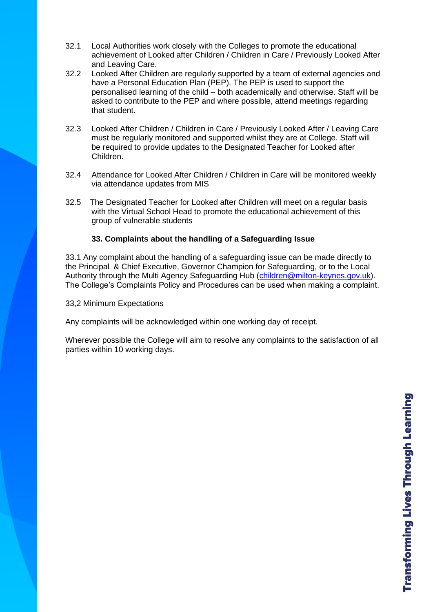- 32.1 Local Authorities work closely with the Colleges to promote the educational achievement of Looked after Children / Children in Care / Previously Looked After and Leaving Care.
- 32.2 Looked After Children are regularly supported by a team of external agencies and have a Personal Education Plan (PEP). The PEP is used to support the personalised learning of the child – both academically and otherwise. Staff will be asked to contribute to the PEP and where possible, attend meetings regarding that student.
- 32.3 Looked After Children / Children in Care / Previously Looked After / Leaving Care must be regularly monitored and supported whilst they are at College. Staff will be required to provide updates to the Designated Teacher for Looked after Children.
- 32.4 Attendance for Looked After Children / Children in Care will be monitored weekly via attendance updates from MIS
- 32.5 The Designated Teacher for Looked after Children will meet on a regular basis with the Virtual School Head to promote the educational achievement of this group of vulnerable students

### **33. Complaints about the handling of a Safeguarding Issue**

33.1 Any complaint about the handling of a safeguarding issue can be made directly to the Principal & Chief Executive, Governor Champion for Safeguarding, or to the Local Authority through the Multi Agency Safeguarding Hub [\(children@milton-keynes.gov.uk\)](mailto:children@milton-keynes.gov.uk). The College's Complaints Policy and Procedures can be used when making a complaint.

33,2 Minimum Expectations

Any complaints will be acknowledged within one working day of receipt.

Wherever possible the College will aim to resolve any complaints to the satisfaction of all parties within 10 working days.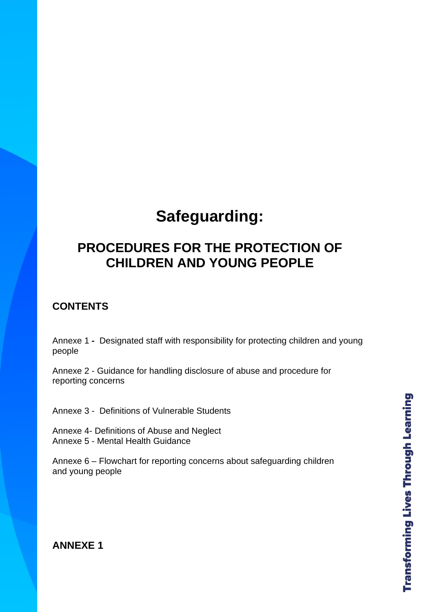# **Safeguarding:**

# **PROCEDURES FOR THE PROTECTION OF CHILDREN AND YOUNG PEOPLE**

# **CONTENTS**

Annexe 1 **-** Designated staff with responsibility for protecting children and young people

Annexe 2 - Guidance for handling disclosure of abuse and procedure for reporting concerns

Annexe 3 - Definitions of Vulnerable Students

Annexe 4- Definitions of Abuse and Neglect Annexe 5 - Mental Health Guidance

Annexe 6 – Flowchart for reporting concerns about safeguarding children and young people

# **ANNEXE 1**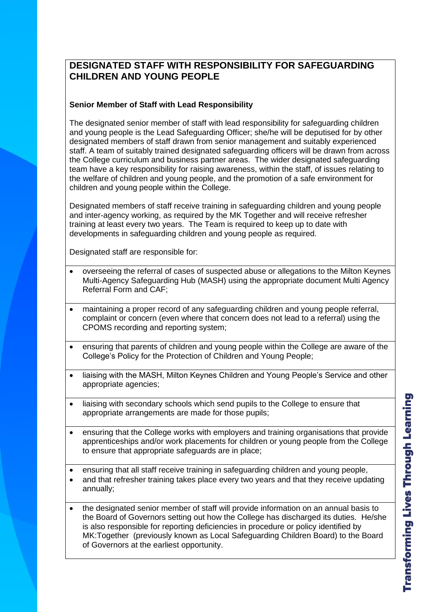# **DESIGNATED STAFF WITH RESPONSIBILITY FOR SAFEGUARDING CHILDREN AND YOUNG PEOPLE**

# **Senior Member of Staff with Lead Responsibility**

The designated senior member of staff with lead responsibility for safeguarding children and young people is the Lead Safeguarding Officer; she/he will be deputised for by other designated members of staff drawn from senior management and suitably experienced staff. A team of suitably trained designated safeguarding officers will be drawn from across the College curriculum and business partner areas. The wider designated safeguarding team have a key responsibility for raising awareness, within the staff, of issues relating to the welfare of children and young people, and the promotion of a safe environment for children and young people within the College.

Designated members of staff receive training in safeguarding children and young people and inter-agency working, as required by the MK Together and will receive refresher training at least every two years. The Team is required to keep up to date with developments in safeguarding children and young people as required.

Designated staff are responsible for:

- overseeing the referral of cases of suspected abuse or allegations to the Milton Keynes Multi-Agency Safeguarding Hub (MASH) using the appropriate document Multi Agency Referral Form and CAF;
- maintaining a proper record of any safeguarding children and young people referral, complaint or concern (even where that concern does not lead to a referral) using the CPOMS recording and reporting system;
- ensuring that parents of children and young people within the College are aware of the College's Policy for the Protection of Children and Young People;
- liaising with the MASH, Milton Keynes Children and Young People's Service and other appropriate agencies;
- liaising with secondary schools which send pupils to the College to ensure that appropriate arrangements are made for those pupils;
- ensuring that the College works with employers and training organisations that provide apprenticeships and/or work placements for children or young people from the College to ensure that appropriate safeguards are in place;

• ensuring that all staff receive training in safeguarding children and young people,

- and that refresher training takes place every two years and that they receive updating annually;
- the designated senior member of staff will provide information on an annual basis to the Board of Governors setting out how the College has discharged its duties. He/she is also responsible for reporting deficiencies in procedure or policy identified by MK:Together (previously known as Local Safeguarding Children Board) to the Board of Governors at the earliest opportunity.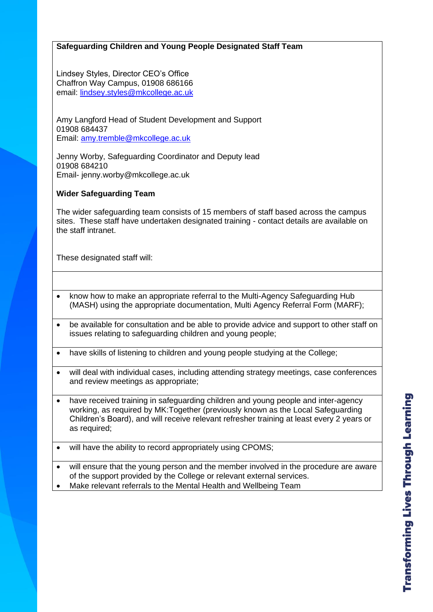### **Safeguarding Children and Young People Designated Staff Team**

Lindsey Styles, Director CEO's Office Chaffron Way Campus, 01908 686166 email: [lindsey.styles@mkcollege.ac.uk](mailto:lindsey.styles@mkcollege.ac.uk)

Amy Langford Head of Student Development and Support 01908 684437 Email: [amy.tremble@mkcollege.ac.uk](mailto:amy.tremble@mkcollege.ac.uk)

Jenny Worby, Safeguarding Coordinator and Deputy lead 01908 684210 Email- jenny.worby@mkcollege.ac.uk

### **Wider Safeguarding Team**

The wider safeguarding team consists of 15 members of staff based across the campus sites. These staff have undertaken designated training - contact details are available on the staff intranet.

These designated staff will:

- know how to make an appropriate referral to the Multi-Agency Safeguarding Hub (MASH) using the appropriate documentation, Multi Agency Referral Form (MARF);
- be available for consultation and be able to provide advice and support to other staff on issues relating to safeguarding children and young people;
- have skills of listening to children and young people studying at the College;
- will deal with individual cases, including attending strategy meetings, case conferences and review meetings as appropriate;
- have received training in safeguarding children and young people and inter-agency working, as required by MK:Together (previously known as the Local Safeguarding Children's Board), and will receive relevant refresher training at least every 2 years or as required;

will have the ability to record appropriately using CPOMS;

• will ensure that the young person and the member involved in the procedure are aware of the support provided by the College or relevant external services.

• Make relevant referrals to the Mental Health and Wellbeing Team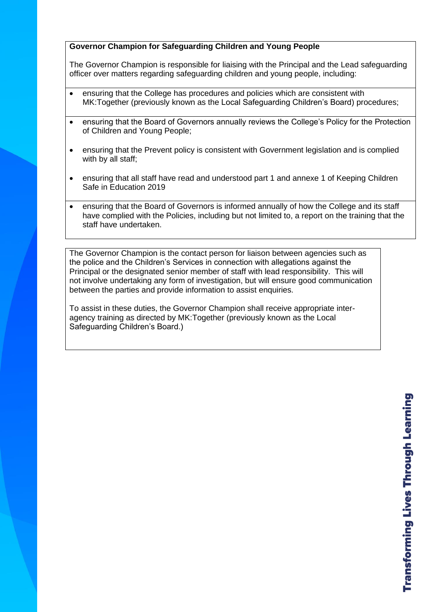# **Governor Champion for Safeguarding Children and Young People**

The Governor Champion is responsible for liaising with the Principal and the Lead safeguarding officer over matters regarding safeguarding children and young people, including:

- ensuring that the College has procedures and policies which are consistent with MK:Together (previously known as the Local Safeguarding Children's Board) procedures;
- ensuring that the Board of Governors annually reviews the College's Policy for the Protection of Children and Young People;
- ensuring that the Prevent policy is consistent with Government legislation and is complied with by all staff;
- ensuring that all staff have read and understood part 1 and annexe 1 of Keeping Children Safe in Education 2019
- ensuring that the Board of Governors is informed annually of how the College and its staff have complied with the Policies, including but not limited to, a report on the training that the staff have undertaken.

The Governor Champion is the contact person for liaison between agencies such as the police and the Children's Services in connection with allegations against the Principal or the designated senior member of staff with lead responsibility. This will not involve undertaking any form of investigation, but will ensure good communication between the parties and provide information to assist enquiries.

To assist in these duties, the Governor Champion shall receive appropriate interagency training as directed by MK:Together (previously known as the Local Safeguarding Children's Board.)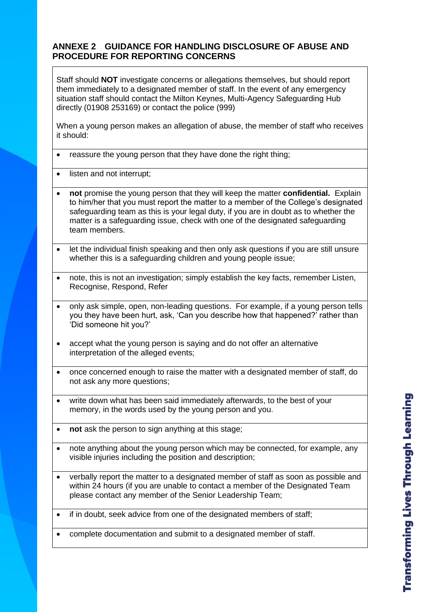# **ANNEXE 2 GUIDANCE FOR HANDLING DISCLOSURE OF ABUSE AND PROCEDURE FOR REPORTING CONCERNS**

Staff should **NOT** investigate concerns or allegations themselves, but should report them immediately to a designated member of staff. In the event of any emergency situation staff should contact the Milton Keynes, Multi-Agency Safeguarding Hub directly (01908 253169) or contact the police (999)

When a young person makes an allegation of abuse, the member of staff who receives it should:

- reassure the young person that they have done the right thing;
- listen and not interrupt;
- **not** promise the young person that they will keep the matter **confidential.** Explain to him/her that you must report the matter to a member of the College's designated safeguarding team as this is your legal duty, if you are in doubt as to whether the matter is a safeguarding issue, check with one of the designated safeguarding team members.
- let the individual finish speaking and then only ask questions if you are still unsure whether this is a safeguarding children and young people issue;
- note, this is not an investigation; simply establish the key facts, remember Listen, Recognise, Respond, Refer
- only ask simple, open, non-leading questions. For example, if a young person tells you they have been hurt, ask, 'Can you describe how that happened?' rather than 'Did someone hit you?'
- accept what the young person is saying and do not offer an alternative interpretation of the alleged events;
- once concerned enough to raise the matter with a designated member of staff, do not ask any more questions;
- write down what has been said immediately afterwards, to the best of your memory, in the words used by the young person and you.
- **not** ask the person to sign anything at this stage;
- note anything about the young person which may be connected, for example, any visible injuries including the position and description;
- verbally report the matter to a designated member of staff as soon as possible and within 24 hours (if you are unable to contact a member of the Designated Team please contact any member of the Senior Leadership Team;
- if in doubt, seek advice from one of the designated members of staff;
- complete documentation and submit to a designated member of staff.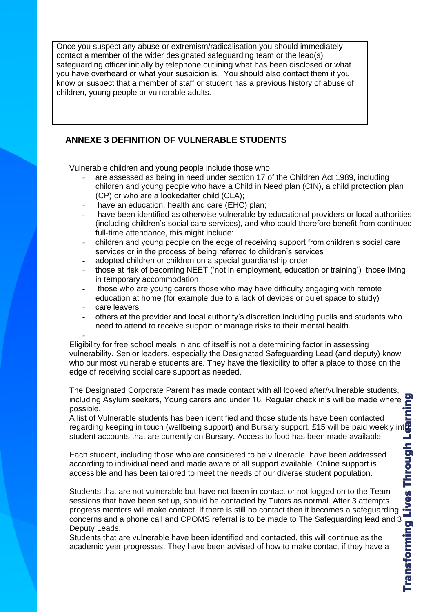Once you suspect any abuse or extremism/radicalisation you should immediately contact a member of the wider designated safeguarding team or the lead(s) safeguarding officer initially by telephone outlining what has been disclosed or what you have overheard or what your suspicion is. You should also contact them if you know or suspect that a member of staff or student has a previous history of abuse of children, young people or vulnerable adults.

# **ANNEXE 3 DEFINITION OF VULNERABLE STUDENTS**

Vulnerable children and young people include those who:

- are assessed as being in need under section 17 of the Children Act 1989, including children and young people who have a Child in Need plan (CIN), a child protection plan (CP) or who are a lookedafter child (CLA);
- have an education, health and care (EHC) plan;
- have been identified as otherwise vulnerable by educational providers or local authorities (including children's social care services), and who could therefore benefit from continued full-time attendance, this might include:
- children and young people on the edge of receiving support from children's social care services or in the process of being referred to children's services
- adopted children or children on a special guardianship order
- those at risk of becoming NEET ('not in employment, education or training') those living in temporary accommodation
- those who are young carers those who may have difficulty engaging with remote education at home (for example due to a lack of devices or quiet space to study)
- care leavers
- others at the provider and local authority's discretion including pupils and students who need to attend to receive support or manage risks to their mental health.

- Eligibility for free school meals in and of itself is not a determining factor in assessing vulnerability. Senior leaders, especially the Designated Safeguarding Lead (and deputy) know who our most vulnerable students are. They have the flexibility to offer a place to those on the edge of receiving social care support as needed.

The Designated Corporate Parent has made contact with all looked after/vulnerable students, including Asylum seekers, Young carers and under 16. Regular check in's will be made where possible.

A list of Vulnerable students has been identified and those students have been contacted regarding keeping in touch (wellbeing support) and Bursary support. £15 will be paid weekly into student accounts that are currently on Bursary. Access to food has been made available

Each student, including those who are considered to be vulnerable, have been addressed according to individual need and made aware of all support available. Online support is accessible and has been tailored to meet the needs of our diverse student population.

Students that are not vulnerable but have not been in contact or not logged on to the Team sessions that have been set up, should be contacted by Tutors as normal. After 3 attempts progress mentors will make contact. If there is still no contact then it becomes a safeguarding concerns and a phone call and CPOMS referral is to be made to The Safeguarding lead and 3 Deputy Leads.

Students that are vulnerable have been identified and contacted, this will continue as the academic year progresses. They have been advised of how to make contact if they have a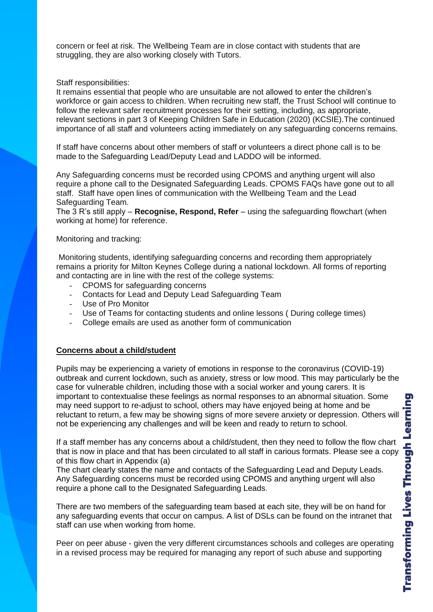concern or feel at risk. The Wellbeing Team are in close contact with students that are struggling, they are also working closely with Tutors.

#### Staff responsibilities:

It remains essential that people who are unsuitable are not allowed to enter the children's workforce or gain access to children. When recruiting new staff, the Trust School will continue to follow the relevant safer recruitment processes for their setting, including, as appropriate, relevant sections in part 3 of Keeping Children Safe in Education (2020) (KCSIE).The continued importance of all staff and volunteers acting immediately on any safeguarding concerns remains.

If staff have concerns about other members of staff or volunteers a direct phone call is to be made to the Safeguarding Lead/Deputy Lead and LADDO will be informed.

Any Safeguarding concerns must be recorded using CPOMS and anything urgent will also require a phone call to the Designated Safeguarding Leads. CPOMS FAQs have gone out to all staff. Staff have open lines of communication with the Wellbeing Team and the Lead Safeguarding Team.

The 3 R's still apply – **Recognise, Respond, Refer** – using the safeguarding flowchart (when working at home) for reference.

### Monitoring and tracking:

Monitoring students, identifying safeguarding concerns and recording them appropriately remains a priority for Milton Keynes College during a national lockdown. All forms of reporting and contacting are in line with the rest of the college systems:

- CPOMS for safeguarding concerns
- Contacts for Lead and Deputy Lead Safeguarding Team
- Use of Pro Monitor
- Use of Teams for contacting students and online lessons (During college times)
- College emails are used as another form of communication

### **Concerns about a child/student**

Pupils may be experiencing a variety of emotions in response to the coronavirus (COVID-19) outbreak and current lockdown, such as anxiety, stress or low mood. This may particularly be the case for vulnerable children, including those with a social worker and young carers. It is important to contextualise these feelings as normal responses to an abnormal situation. Some may need support to re-adjust to school, others may have enjoyed being at home and be reluctant to return, a few may be showing signs of more severe anxiety or depression. Others will not be experiencing any challenges and will be keen and ready to return to school.

If a staff member has any concerns about a child/student, then they need to follow the flow chart that is now in place and that has been circulated to all staff in carious formats. Please see a copy of this flow chart in Appendix (a)

The chart clearly states the name and contacts of the Safeguarding Lead and Deputy Leads. Any Safeguarding concerns must be recorded using CPOMS and anything urgent will also require a phone call to the Designated Safeguarding Leads.

There are two members of the safeguarding team based at each site, they will be on hand for any safeguarding events that occur on campus. A list of DSLs can be found on the intranet that staff can use when working from home.

Peer on peer abuse - given the very different circumstances schools and colleges are operating in a revised process may be required for managing any report of such abuse and supporting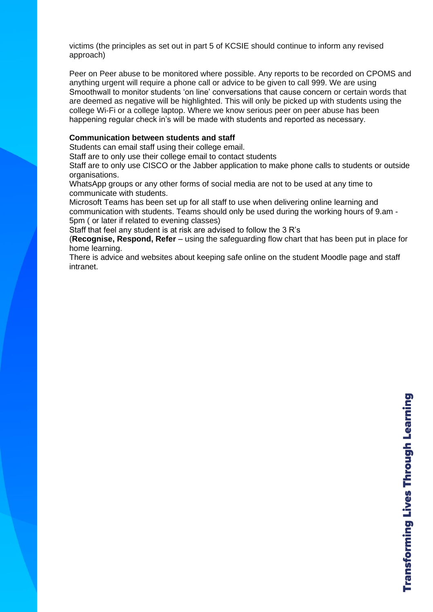victims (the principles as set out in part 5 of KCSIE should continue to inform any revised approach)

Peer on Peer abuse to be monitored where possible. Any reports to be recorded on CPOMS and anything urgent will require a phone call or advice to be given to call 999. We are using Smoothwall to monitor students 'on line' conversations that cause concern or certain words that are deemed as negative will be highlighted. This will only be picked up with students using the college Wi-Fi or a college laptop. Where we know serious peer on peer abuse has been happening regular check in's will be made with students and reported as necessary.

### **Communication between students and staff**

Students can email staff using their college email.

Staff are to only use their college email to contact students

Staff are to only use CISCO or the Jabber application to make phone calls to students or outside organisations.

WhatsApp groups or any other forms of social media are not to be used at any time to communicate with students.

Microsoft Teams has been set up for all staff to use when delivering online learning and communication with students. Teams should only be used during the working hours of 9.am - 5pm ( or later if related to evening classes)

Staff that feel any student is at risk are advised to follow the 3 R's

(**Recognise, Respond, Refer** – using the safeguarding flow chart that has been put in place for home learning.

There is advice and websites about keeping safe online on the student Moodle page and staff intranet.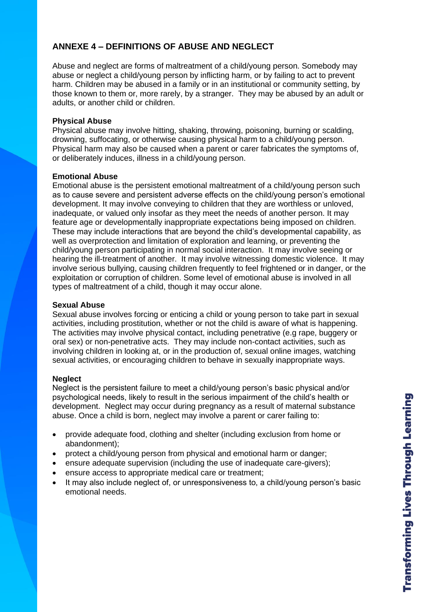# **ANNEXE 4 – DEFINITIONS OF ABUSE AND NEGLECT**

Abuse and neglect are forms of maltreatment of a child/young person. Somebody may abuse or neglect a child/young person by inflicting harm, or by failing to act to prevent harm. Children may be abused in a family or in an institutional or community setting, by those known to them or, more rarely, by a stranger. They may be abused by an adult or adults, or another child or children.

### **Physical Abuse**

Physical abuse may involve hitting, shaking, throwing, poisoning, burning or scalding, drowning, suffocating, or otherwise causing physical harm to a child/young person. Physical harm may also be caused when a parent or carer fabricates the symptoms of, or deliberately induces, illness in a child/young person.

### **Emotional Abuse**

Emotional abuse is the persistent emotional maltreatment of a child/young person such as to cause severe and persistent adverse effects on the child/young person's emotional development. It may involve conveying to children that they are worthless or unloved, inadequate, or valued only insofar as they meet the needs of another person. It may feature age or developmentally inappropriate expectations being imposed on children. These may include interactions that are beyond the child's developmental capability, as well as overprotection and limitation of exploration and learning, or preventing the child/young person participating in normal social interaction. It may involve seeing or hearing the ill-treatment of another. It may involve witnessing domestic violence. It may involve serious bullying, causing children frequently to feel frightened or in danger, or the exploitation or corruption of children. Some level of emotional abuse is involved in all types of maltreatment of a child, though it may occur alone.

### **Sexual Abuse**

Sexual abuse involves forcing or enticing a child or young person to take part in sexual activities, including prostitution, whether or not the child is aware of what is happening. The activities may involve physical contact, including penetrative (e.g rape, buggery or oral sex) or non-penetrative acts. They may include non-contact activities, such as involving children in looking at, or in the production of, sexual online images, watching sexual activities, or encouraging children to behave in sexually inappropriate ways.

### **Neglect**

Neglect is the persistent failure to meet a child/young person's basic physical and/or psychological needs, likely to result in the serious impairment of the child's health or development. Neglect may occur during pregnancy as a result of maternal substance abuse. Once a child is born, neglect may involve a parent or carer failing to:

- provide adequate food, clothing and shelter (including exclusion from home or abandonment);
- protect a child/young person from physical and emotional harm or danger;
- ensure adequate supervision (including the use of inadequate care-givers);
- ensure access to appropriate medical care or treatment;
- It may also include neglect of, or unresponsiveness to, a child/young person's basic emotional needs.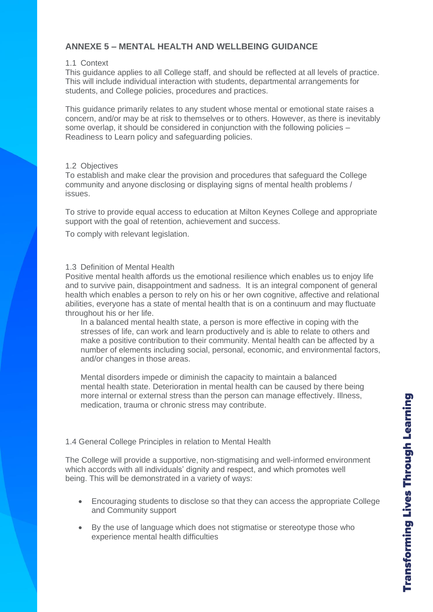# **ANNEXE 5 – MENTAL HEALTH AND WELLBEING GUIDANCE**

### 1.1 Context

This guidance applies to all College staff, and should be reflected at all levels of practice. This will include individual interaction with students, departmental arrangements for students, and College policies, procedures and practices.

This guidance primarily relates to any student whose mental or emotional state raises a concern, and/or may be at risk to themselves or to others. However, as there is inevitably some overlap, it should be considered in conjunction with the following policies – Readiness to Learn policy and safeguarding policies.

# 1.2 Objectives

To establish and make clear the provision and procedures that safeguard the College community and anyone disclosing or displaying signs of mental health problems / issues.

To strive to provide equal access to education at Milton Keynes College and appropriate support with the goal of retention, achievement and success.

To comply with relevant legislation.

### 1.3 Definition of Mental Health

Positive mental health affords us the emotional resilience which enables us to enjoy life and to survive pain, disappointment and sadness. It is an integral component of general health which enables a person to rely on his or her own cognitive, affective and relational abilities, everyone has a state of mental health that is on a continuum and may fluctuate throughout his or her life.

In a balanced mental health state, a person is more effective in coping with the stresses of life, can work and learn productively and is able to relate to others and make a positive contribution to their community. Mental health can be affected by a number of elements including social, personal, economic, and environmental factors, and/or changes in those areas.

Mental disorders impede or diminish the capacity to maintain a balanced mental health state. Deterioration in mental health can be caused by there being more internal or external stress than the person can manage effectively. Illness, medication, trauma or chronic stress may contribute.

# 1.4 General College Principles in relation to Mental Health

The College will provide a supportive, non-stigmatising and well-informed environment which accords with all individuals' dignity and respect, and which promotes well being. This will be demonstrated in a variety of ways:

- Encouraging students to disclose so that they can access the appropriate College and Community support
- By the use of language which does not stigmatise or stereotype those who experience mental health difficulties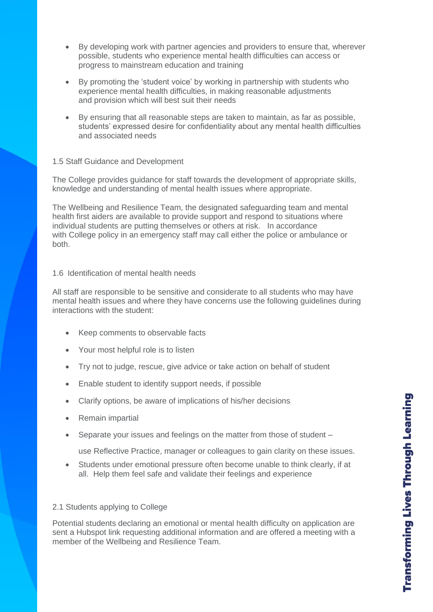- By developing work with partner agencies and providers to ensure that, wherever possible, students who experience mental health difficulties can access or progress to mainstream education and training
- By promoting the 'student voice' by working in partnership with students who experience mental health difficulties, in making reasonable adjustments and provision which will best suit their needs
- By ensuring that all reasonable steps are taken to maintain, as far as possible, students' expressed desire for confidentiality about any mental health difficulties and associated needs

### 1.5 Staff Guidance and Development

The College provides guidance for staff towards the development of appropriate skills, knowledge and understanding of mental health issues where appropriate.

The Wellbeing and Resilience Team, the designated safeguarding team and mental health first aiders are available to provide support and respond to situations where individual students are putting themselves or others at risk. In accordance with College policy in an emergency staff may call either the police or ambulance or both.

### 1.6 Identification of mental health needs

All staff are responsible to be sensitive and considerate to all students who may have mental health issues and where they have concerns use the following guidelines during interactions with the student:

- Keep comments to observable facts
- Your most helpful role is to listen
- Try not to judge, rescue, give advice or take action on behalf of student
- Enable student to identify support needs, if possible
- Clarify options, be aware of implications of his/her decisions
- Remain impartial
- Separate your issues and feelings on the matter from those of student –

use Reflective Practice, manager or colleagues to gain clarity on these issues.

• Students under emotional pressure often become unable to think clearly, if at all. Help them feel safe and validate their feelings and experience

#### 2.1 Students applying to College

Potential students declaring an emotional or mental health difficulty on application are sent a Hubspot link requesting additional information and are offered a meeting with a member of the Wellbeing and Resilience Team.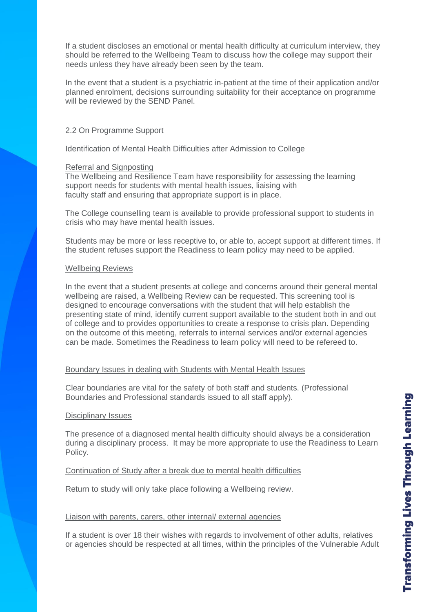If a student discloses an emotional or mental health difficulty at curriculum interview, they should be referred to the Wellbeing Team to discuss how the college may support their needs unless they have already been seen by the team.

In the event that a student is a psychiatric in-patient at the time of their application and/or planned enrolment, decisions surrounding suitability for their acceptance on programme will be reviewed by the SEND Panel.

### 2.2 On Programme Support

Identification of Mental Health Difficulties after Admission to College

### Referral and Signposting

The Wellbeing and Resilience Team have responsibility for assessing the learning support needs for students with mental health issues, liaising with faculty staff and ensuring that appropriate support is in place.

The College counselling team is available to provide professional support to students in crisis who may have mental health issues.

Students may be more or less receptive to, or able to, accept support at different times. If the student refuses support the Readiness to learn policy may need to be applied.

### Wellbeing Reviews

In the event that a student presents at college and concerns around their general mental wellbeing are raised, a Wellbeing Review can be requested. This screening tool is designed to encourage conversations with the student that will help establish the presenting state of mind, identify current support available to the student both in and out of college and to provides opportunities to create a response to crisis plan. Depending on the outcome of this meeting, referrals to internal services and/or external agencies can be made. Sometimes the Readiness to learn policy will need to be refereed to.

### Boundary Issues in dealing with Students with Mental Health Issues

Clear boundaries are vital for the safety of both staff and students. (Professional Boundaries and Professional standards issued to all staff apply).

#### Disciplinary Issues

The presence of a diagnosed mental health difficulty should always be a consideration during a disciplinary process. It may be more appropriate to use the Readiness to Learn Policy.

### Continuation of Study after a break due to mental health difficulties

Return to study will only take place following a Wellbeing review.

### Liaison with parents, carers, other internal/ external agencies

If a student is over 18 their wishes with regards to involvement of other adults, relatives or agencies should be respected at all times, within the principles of the Vulnerable Adult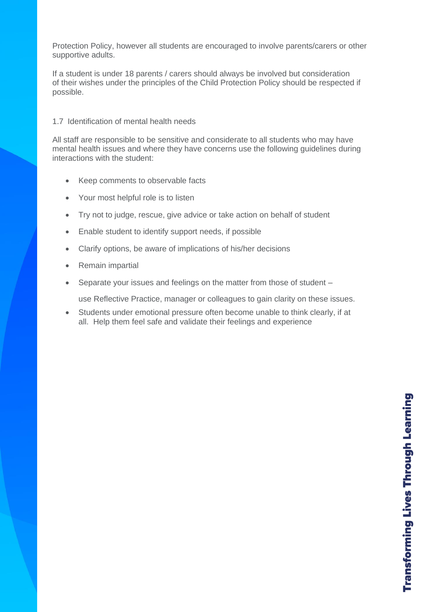Protection Policy, however all students are encouraged to involve parents/carers or other supportive adults.

If a student is under 18 parents / carers should always be involved but consideration of their wishes under the principles of the Child Protection Policy should be respected if possible.

### 1.7 Identification of mental health needs

All staff are responsible to be sensitive and considerate to all students who may have mental health issues and where they have concerns use the following guidelines during interactions with the student:

- Keep comments to observable facts
- Your most helpful role is to listen
- Try not to judge, rescue, give advice or take action on behalf of student
- Enable student to identify support needs, if possible
- Clarify options, be aware of implications of his/her decisions
- Remain impartial
- Separate your issues and feelings on the matter from those of student –

use Reflective Practice, manager or colleagues to gain clarity on these issues.

• Students under emotional pressure often become unable to think clearly, if at all. Help them feel safe and validate their feelings and experience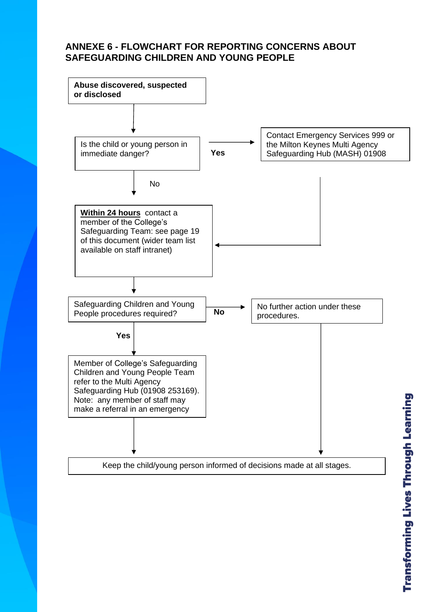# **ANNEXE 6 - FLOWCHART FOR REPORTING CONCERNS ABOUT SAFEGUARDING CHILDREN AND YOUNG PEOPLE**